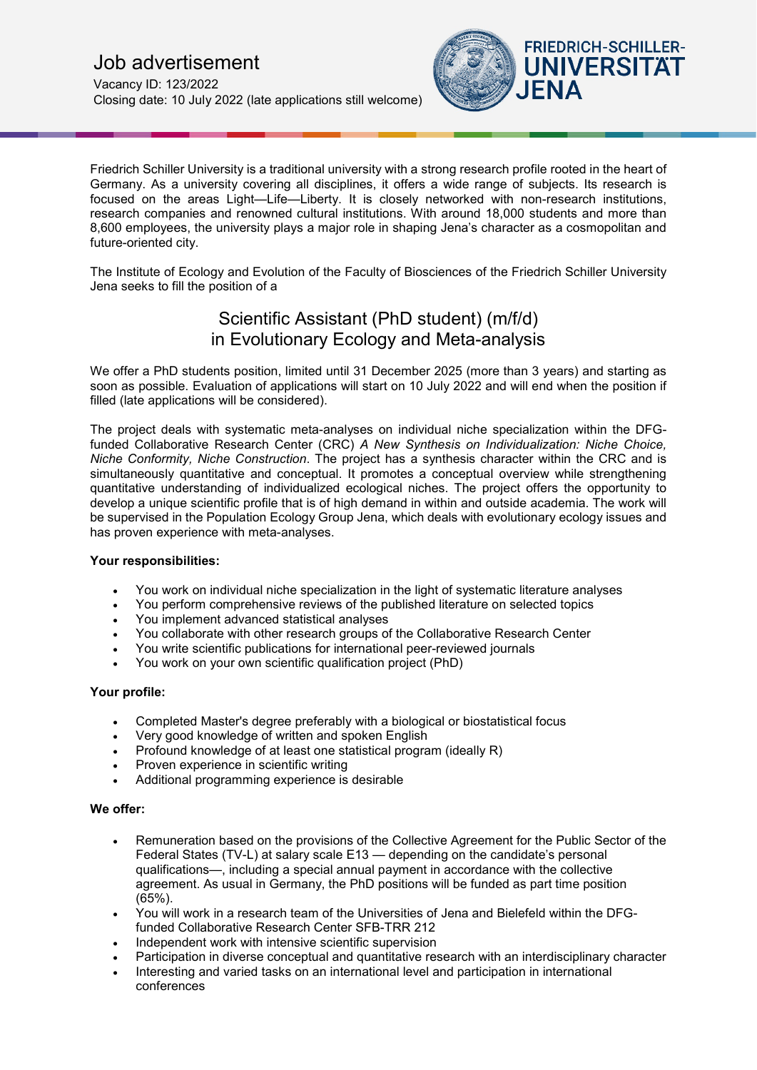

Friedrich Schiller University is a traditional university with a strong research profile rooted in the heart of Germany. As a university covering all disciplines, it offers a wide range of subjects. Its research is focused on the areas Light—Life—Liberty. It is closely networked with non-research institutions, research companies and renowned cultural institutions. With around 18,000 students and more than 8,600 employees, the university plays a major role in shaping Jena's character as a cosmopolitan and future-oriented city.

The Institute of Ecology and Evolution of the Faculty of Biosciences of the Friedrich Schiller University Jena seeks to fill the position of a

# Scientific Assistant (PhD student) (m/f/d) in Evolutionary Ecology and Meta-analysis

We offer a PhD students position, limited until 31 December 2025 (more than 3 years) and starting as soon as possible. Evaluation of applications will start on 10 July 2022 and will end when the position if filled (late applications will be considered).

The project deals with systematic meta-analyses on individual niche specialization within the DFGfunded Collaborative Research Center (CRC) *A New Synthesis on Individualization: Niche Choice, Niche Conformity, Niche Construction*. The project has a synthesis character within the CRC and is simultaneously quantitative and conceptual. It promotes a conceptual overview while strengthening quantitative understanding of individualized ecological niches. The project offers the opportunity to develop a unique scientific profile that is of high demand in within and outside academia. The work will be supervised in the Population Ecology Group Jena, which deals with evolutionary ecology issues and has proven experience with meta-analyses.

## **Your responsibilities:**

- You work on individual niche specialization in the light of systematic literature analyses
- You perform comprehensive reviews of the published literature on selected topics
- You implement advanced statistical analyses
- You collaborate with other research groups of the Collaborative Research Center
- You write scientific publications for international peer-reviewed journals
- You work on your own scientific qualification project (PhD)

## **Your profile:**

- Completed Master's degree preferably with a biological or biostatistical focus
- Very good knowledge of written and spoken English
- Profound knowledge of at least one statistical program (ideally R)
- Proven experience in scientific writing
- Additional programming experience is desirable

## **We offer:**

- Remuneration based on the provisions of the Collective Agreement for the Public Sector of the Federal States (TV-L) at salary scale E13 — depending on the candidate's personal qualifications—, including a special annual payment in accordance with the collective agreement. As usual in Germany, the PhD positions will be funded as part time position (65%).
- You will work in a research team of the Universities of Jena and Bielefeld within the DFGfunded Collaborative Research Center SFB-TRR 212
- Independent work with intensive scientific supervision
- Participation in diverse conceptual and quantitative research with an interdisciplinary character
- Interesting and varied tasks on an international level and participation in international conferences